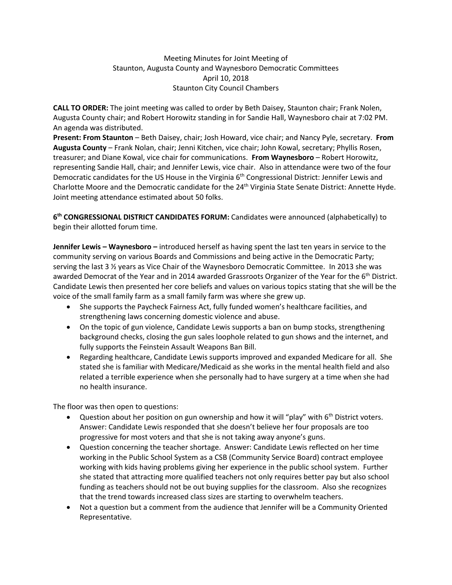## Meeting Minutes for Joint Meeting of Staunton, Augusta County and Waynesboro Democratic Committees April 10, 2018 Staunton City Council Chambers

**CALL TO ORDER:** The joint meeting was called to order by Beth Daisey, Staunton chair; Frank Nolen, Augusta County chair; and Robert Horowitz standing in for Sandie Hall, Waynesboro chair at 7:02 PM. An agenda was distributed.

**Present: From Staunton** – Beth Daisey, chair; Josh Howard, vice chair; and Nancy Pyle, secretary. **From Augusta County** – Frank Nolan, chair; Jenni Kitchen, vice chair; John Kowal, secretary; Phyllis Rosen, treasurer; and Diane Kowal, vice chair for communications. **From Waynesboro** – Robert Horowitz, representing Sandie Hall, chair; and Jennifer Lewis, vice chair. Also in attendance were two of the four Democratic candidates for the US House in the Virginia 6<sup>th</sup> Congressional District: Jennifer Lewis and Charlotte Moore and the Democratic candidate for the 24<sup>th</sup> Virginia State Senate District: Annette Hyde. Joint meeting attendance estimated about 50 folks.

**6 th CONGRESSIONAL DISTRICT CANDIDATES FORUM:** Candidates were announced (alphabetically) to begin their allotted forum time.

**Jennifer Lewis – Waynesboro –** introduced herself as having spent the last ten years in service to the community serving on various Boards and Commissions and being active in the Democratic Party; serving the last 3 ½ years as Vice Chair of the Waynesboro Democratic Committee. In 2013 she was awarded Democrat of the Year and in 2014 awarded Grassroots Organizer of the Year for the 6<sup>th</sup> District. Candidate Lewis then presented her core beliefs and values on various topics stating that she will be the voice of the small family farm as a small family farm was where she grew up.

- She supports the Paycheck Fairness Act, fully funded women's healthcare facilities, and strengthening laws concerning domestic violence and abuse.
- On the topic of gun violence, Candidate Lewis supports a ban on bump stocks, strengthening background checks, closing the gun sales loophole related to gun shows and the internet, and fully supports the Feinstein Assault Weapons Ban Bill.
- Regarding healthcare, Candidate Lewis supports improved and expanded Medicare for all. She stated she is familiar with Medicare/Medicaid as she works in the mental health field and also related a terrible experience when she personally had to have surgery at a time when she had no health insurance.

The floor was then open to questions:

- Question about her position on gun ownership and how it will "play" with  $6<sup>th</sup>$  District voters. Answer: Candidate Lewis responded that she doesn't believe her four proposals are too progressive for most voters and that she is not taking away anyone's guns.
- Question concerning the teacher shortage. Answer: Candidate Lewis reflected on her time working in the Public School System as a CSB (Community Service Board) contract employee working with kids having problems giving her experience in the public school system. Further she stated that attracting more qualified teachers not only requires better pay but also school funding as teachers should not be out buying supplies for the classroom. Also she recognizes that the trend towards increased class sizes are starting to overwhelm teachers.
- Not a question but a comment from the audience that Jennifer will be a Community Oriented Representative.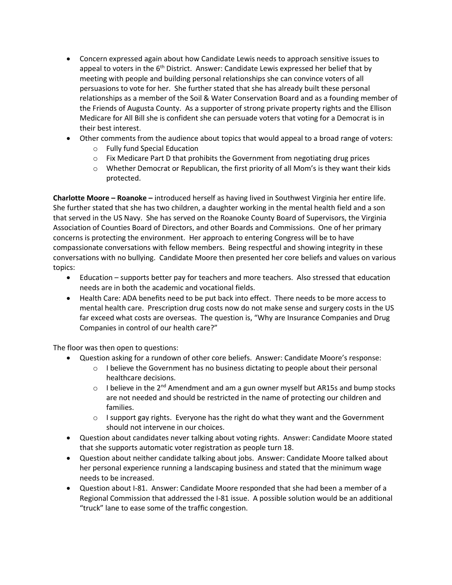- Concern expressed again about how Candidate Lewis needs to approach sensitive issues to appeal to voters in the  $6<sup>th</sup>$  District. Answer: Candidate Lewis expressed her belief that by meeting with people and building personal relationships she can convince voters of all persuasions to vote for her. She further stated that she has already built these personal relationships as a member of the Soil & Water Conservation Board and as a founding member of the Friends of Augusta County. As a supporter of strong private property rights and the Ellison Medicare for All Bill she is confident she can persuade voters that voting for a Democrat is in their best interest.
- Other comments from the audience about topics that would appeal to a broad range of voters:
	- o Fully fund Special Education
	- $\circ$  Fix Medicare Part D that prohibits the Government from negotiating drug prices
	- o Whether Democrat or Republican, the first priority of all Mom's is they want their kids protected.

**Charlotte Moore – Roanoke –** introduced herself as having lived in Southwest Virginia her entire life. She further stated that she has two children, a daughter working in the mental health field and a son that served in the US Navy. She has served on the Roanoke County Board of Supervisors, the Virginia Association of Counties Board of Directors, and other Boards and Commissions. One of her primary concerns is protecting the environment. Her approach to entering Congress will be to have compassionate conversations with fellow members. Being respectful and showing integrity in these conversations with no bullying. Candidate Moore then presented her core beliefs and values on various topics:

- Education supports better pay for teachers and more teachers. Also stressed that education needs are in both the academic and vocational fields.
- Health Care: ADA benefits need to be put back into effect. There needs to be more access to mental health care. Prescription drug costs now do not make sense and surgery costs in the US far exceed what costs are overseas. The question is, "Why are Insurance Companies and Drug Companies in control of our health care?"

The floor was then open to questions:

- Question asking for a rundown of other core beliefs. Answer: Candidate Moore's response:
	- $\circ$  I believe the Government has no business dictating to people about their personal healthcare decisions.
	- $\circ$  I believe in the 2<sup>nd</sup> Amendment and am a gun owner myself but AR15s and bump stocks are not needed and should be restricted in the name of protecting our children and families.
	- $\circ$  I support gay rights. Everyone has the right do what they want and the Government should not intervene in our choices.
- Question about candidates never talking about voting rights. Answer: Candidate Moore stated that she supports automatic voter registration as people turn 18.
- Question about neither candidate talking about jobs. Answer: Candidate Moore talked about her personal experience running a landscaping business and stated that the minimum wage needs to be increased.
- Question about I-81. Answer: Candidate Moore responded that she had been a member of a Regional Commission that addressed the I-81 issue. A possible solution would be an additional "truck" lane to ease some of the traffic congestion.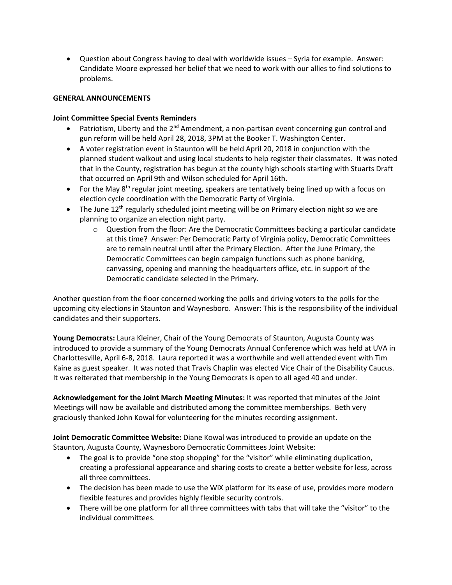• Question about Congress having to deal with worldwide issues – Syria for example. Answer: Candidate Moore expressed her belief that we need to work with our allies to find solutions to problems.

## **GENERAL ANNOUNCEMENTS**

## **Joint Committee Special Events Reminders**

- Patriotism, Liberty and the  $2^{nd}$  Amendment, a non-partisan event concerning gun control and gun reform will be held April 28, 2018, 3PM at the Booker T. Washington Center.
- A voter registration event in Staunton will be held April 20, 2018 in conjunction with the planned student walkout and using local students to help register their classmates. It was noted that in the County, registration has begun at the county high schools starting with Stuarts Draft that occurred on April 9th and Wilson scheduled for April 16th.
- For the May  $8<sup>th</sup>$  regular joint meeting, speakers are tentatively being lined up with a focus on election cycle coordination with the Democratic Party of Virginia.
- The June  $12<sup>th</sup>$  regularly scheduled joint meeting will be on Primary election night so we are planning to organize an election night party.
	- $\circ$  Question from the floor: Are the Democratic Committees backing a particular candidate at this time? Answer: Per Democratic Party of Virginia policy, Democratic Committees are to remain neutral until after the Primary Election. After the June Primary, the Democratic Committees can begin campaign functions such as phone banking, canvassing, opening and manning the headquarters office, etc. in support of the Democratic candidate selected in the Primary.

Another question from the floor concerned working the polls and driving voters to the polls for the upcoming city elections in Staunton and Waynesboro. Answer: This is the responsibility of the individual candidates and their supporters.

**Young Democrats:** Laura Kleiner, Chair of the Young Democrats of Staunton, Augusta County was introduced to provide a summary of the Young Democrats Annual Conference which was held at UVA in Charlottesville, April 6-8, 2018. Laura reported it was a worthwhile and well attended event with Tim Kaine as guest speaker. It was noted that Travis Chaplin was elected Vice Chair of the Disability Caucus. It was reiterated that membership in the Young Democrats is open to all aged 40 and under.

**Acknowledgement for the Joint March Meeting Minutes:** It was reported that minutes of the Joint Meetings will now be available and distributed among the committee memberships. Beth very graciously thanked John Kowal for volunteering for the minutes recording assignment.

**Joint Democratic Committee Website:** Diane Kowal was introduced to provide an update on the Staunton, Augusta County, Waynesboro Democratic Committees Joint Website:

- The goal is to provide "one stop shopping" for the "visitor" while eliminating duplication, creating a professional appearance and sharing costs to create a better website for less, across all three committees.
- The decision has been made to use the WiX platform for its ease of use, provides more modern flexible features and provides highly flexible security controls.
- There will be one platform for all three committees with tabs that will take the "visitor" to the individual committees.